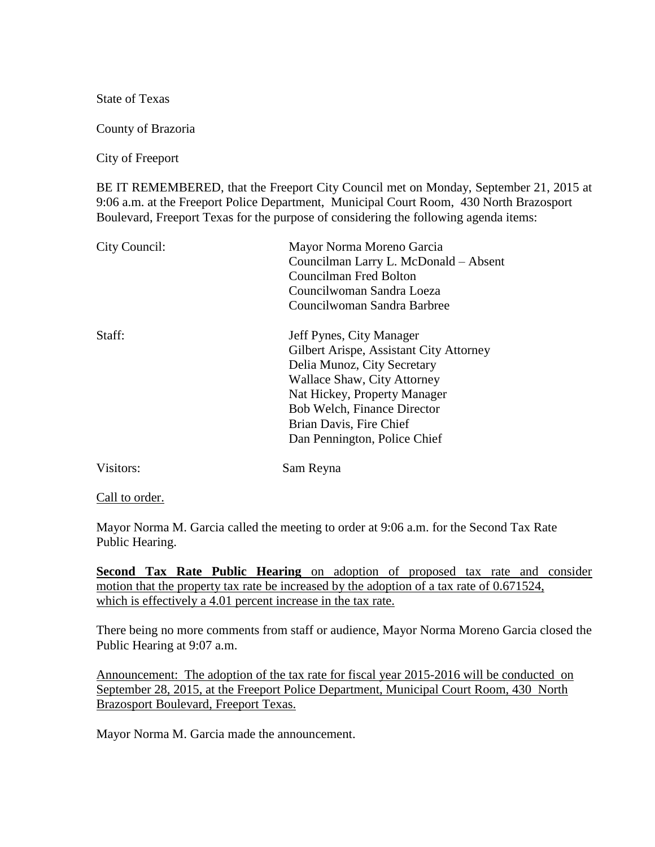State of Texas

County of Brazoria

City of Freeport

BE IT REMEMBERED, that the Freeport City Council met on Monday, September 21, 2015 at 9:06 a.m. at the Freeport Police Department, Municipal Court Room, 430 North Brazosport Boulevard, Freeport Texas for the purpose of considering the following agenda items:

| Mayor Norma Moreno Garcia               |
|-----------------------------------------|
| Councilman Larry L. McDonald - Absent   |
| Councilman Fred Bolton                  |
| Councilwoman Sandra Loeza               |
| Councilwoman Sandra Barbree             |
| Jeff Pynes, City Manager                |
| Gilbert Arispe, Assistant City Attorney |
| Delia Munoz, City Secretary             |
| Wallace Shaw, City Attorney             |
| Nat Hickey, Property Manager            |
| Bob Welch, Finance Director             |
| Brian Davis, Fire Chief                 |
| Dan Pennington, Police Chief            |
| Sam Reyna                               |
|                                         |

Call to order.

Mayor Norma M. Garcia called the meeting to order at 9:06 a.m. for the Second Tax Rate Public Hearing.

**Second Tax Rate Public Hearing** on adoption of proposed tax rate and consider motion that the property tax rate be increased by the adoption of a tax rate of 0.671524, which is effectively a 4.01 percent increase in the tax rate.

There being no more comments from staff or audience, Mayor Norma Moreno Garcia closed the Public Hearing at 9:07 a.m.

Announcement: The adoption of the tax rate for fiscal year 2015-2016 will be conducted on September 28, 2015, at the Freeport Police Department, Municipal Court Room, 430 North Brazosport Boulevard, Freeport Texas.

Mayor Norma M. Garcia made the announcement.